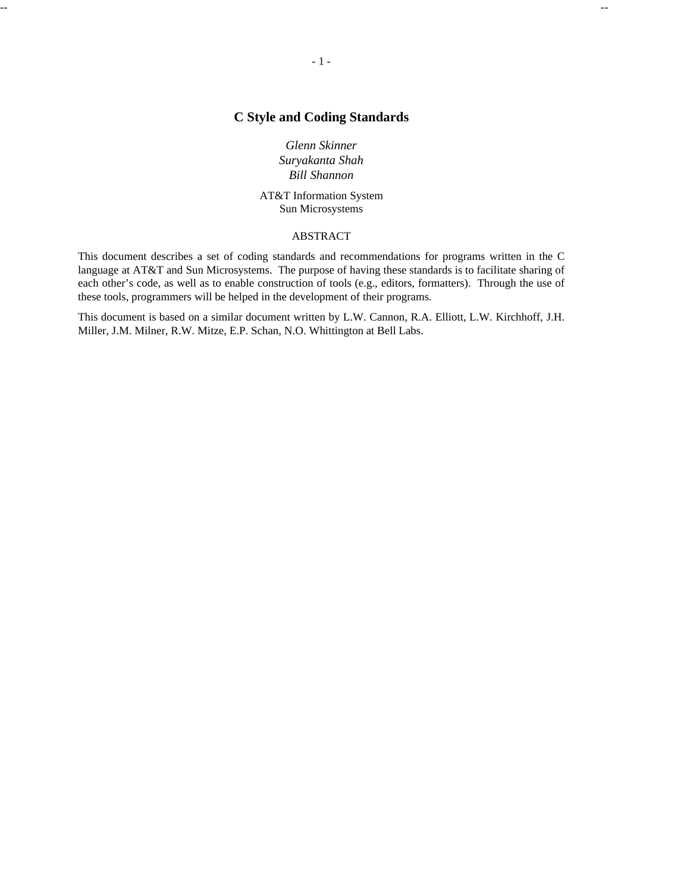# **C Style and Coding Standards**

*Glenn Skinner Suryakanta Shah Bill Shannon*

AT&T Information System Sun Microsystems

# ABSTRACT

This document describes a set of coding standards and recommendations for programs written in the C language at AT&T and Sun Microsystems. The purpose of having these standards is to facilitate sharing of each other's code, as well as to enable construction of tools (e.g., editors, formatters). Through the use of these tools, programmers will be helped in the development of their programs.

This document is based on a similar document written by L.W. Cannon, R.A. Elliott, L.W. Kirchhoff, J.H. Miller, J.M. Milner, R.W. Mitze, E.P. Schan, N.O. Whittington at Bell Labs.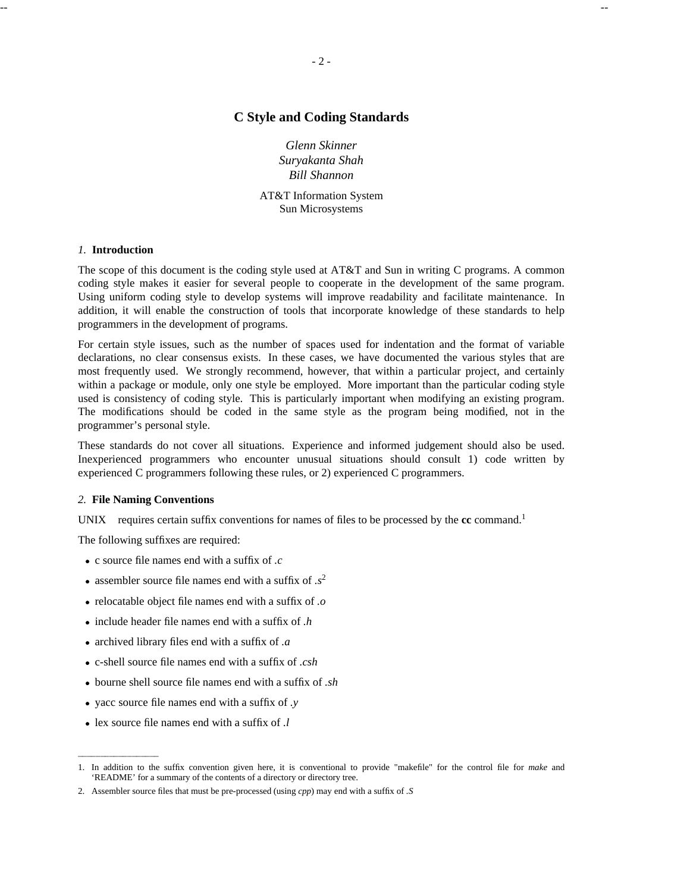# **C Style and Coding Standards**

*Glenn Skinner Suryakanta Shah Bill Shannon*

AT&T Information System Sun Microsystems

### *1.* **Introduction**

The scope of this document is the coding style used at AT&T and Sun in writing C programs. A common coding style makes it easier for several people to cooperate in the development of the same program. Using uniform coding style to develop systems will improve readability and facilitate maintenance. In addition, it will enable the construction of tools that incorporate knowledge of these standards to help programmers in the development of programs.

For certain style issues, such as the number of spaces used for indentation and the format of variable declarations, no clear consensus exists. In these cases, we have documented the various styles that are most frequently used. We strongly recommend, however, that within a particular project, and certainly within a package or module, only one style be employed. More important than the particular coding style used is consistency of coding style. This is particularly important when modifying an existing program. The modifications should be coded in the same style as the program being modified, not in the programmer's personal style.

These standards do not cover all situations. Experience and informed judgement should also be used. Inexperienced programmers who encounter unusual situations should consult 1) code written by experienced C programmers following these rules, or 2) experienced C programmers.

#### *2.* **File Naming Conventions**

UNIX $\otimes$  requires certain suffix conventions for names of files to be processed by the **cc** command.<sup>1</sup>

The following suffixes are required:

- · c source file names end with a suffix of *.c*
- assembler source file names end with a suffix of  $s^2$
- · relocatable object file names end with a suffix of *.o*
- · include header file names end with a suffix of *.h*
- · archived library files end with a suffix of *.a*
- · c-shell source file names end with a suffix of *.csh*
- · bourne shell source file names end with a suffix of *.sh*
- · yacc source file names end with a suffix of *.y*
- · lex source file names end with a suffix of *.l*

<sup>1.</sup> In addition to the suffix convention given here, it is conventional to provide "makefile" for the control file for *make* and 'README' for a summary of the contents of a directory or directory tree.

<sup>2.</sup> Assembler source files that must be pre-processed (using *cpp*) may end with a suffix of *.S*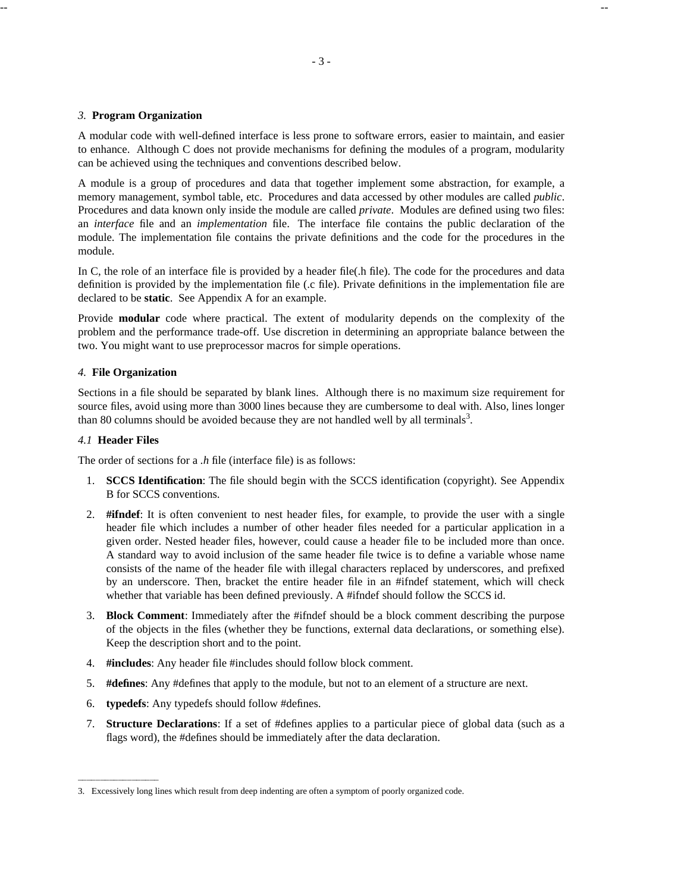### *3.* **Program Organization**

A modular code with well-defined interface is less prone to software errors, easier to maintain, and easier to enhance. Although C does not provide mechanisms for defining the modules of a program, modularity can be achieved using the techniques and conventions described below.

A module is a group of procedures and data that together implement some abstraction, for example, a memory management, symbol table, etc. Procedures and data accessed by other modules are called *public*. Procedures and data known only inside the module are called *private*. Modules are defined using two files: an *interface* file and an *implementation* file. The interface file contains the public declaration of the module. The implementation file contains the private definitions and the code for the procedures in the module.

In C, the role of an interface file is provided by a header file(.h file). The code for the procedures and data definition is provided by the implementation file (.c file). Private definitions in the implementation file are declared to be **static**. See Appendix A for an example.

Provide **modular** code where practical. The extent of modularity depends on the complexity of the problem and the performance trade-off. Use discretion in determining an appropriate balance between the two. You might want to use preprocessor macros for simple operations.

## *4.* **File Organization**

Sections in a file should be separated by blank lines. Although there is no maximum size requirement for source files, avoid using more than 3000 lines because they are cumbersome to deal with. Also, lines longer than 80 columns should be avoided because they are not handled well by all terminals<sup>3</sup>.

## *4.1* **Header Files**

The order of sections for a *.h* file (interface file) is as follows:

- 1. **SCCS Identification**: The file should begin with the SCCS identification (copyright). See Appendix B for SCCS conventions.
- 2. **#ifndef**: It is often convenient to nest header files, for example, to provide the user with a single header file which includes a number of other header files needed for a particular application in a given order. Nested header files, however, could cause a header file to be included more than once. A standard way to avoid inclusion of the same header file twice is to define a variable whose name consists of the name of the header file with illegal characters replaced by underscores, and prefixed by an underscore. Then, bracket the entire header file in an #ifndef statement, which will check whether that variable has been defined previously. A #ifndef should follow the SCCS id.
- 3. **Block Comment**: Immediately after the #ifndef should be a block comment describing the purpose of the objects in the files (whether they be functions, external data declarations, or something else). Keep the description short and to the point.
- 4. **#includes**: Any header file #includes should follow block comment.
- 5. **#defines**: Any #defines that apply to the module, but not to an element of a structure are next.
- 6. **typedefs**: Any typedefs should follow #defines.
- 7. **Structure Declarations**: If a set of #defines applies to a particular piece of global data (such as a flags word), the #defines should be immediately after the data declaration.

<sup>3.</sup> Excessively long lines which result from deep indenting are often a symptom of poorly organized code.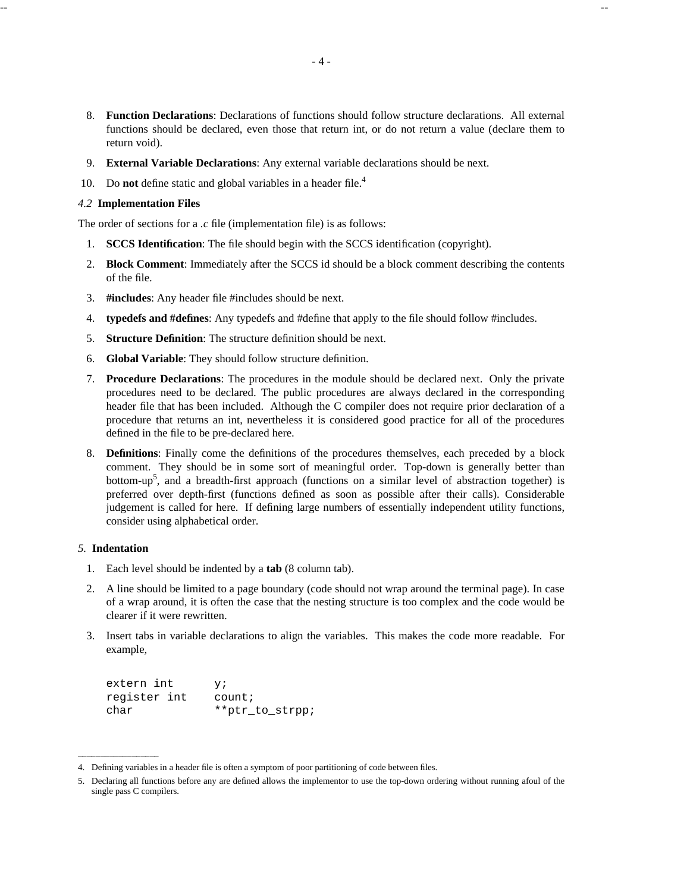- 8. **Function Declarations**: Declarations of functions should follow structure declarations. All external functions should be declared, even those that return int, or do not return a value (declare them to return void).
- 9. **External Variable Declarations**: Any external variable declarations should be next.
- 10. Do **not** define static and global variables in a header file.<sup>4</sup>

## *4.2* **Implementation Files**

The order of sections for a *.c* file (implementation file) is as follows:

- 1. **SCCS Identification**: The file should begin with the SCCS identification (copyright).
- 2. **Block Comment**: Immediately after the SCCS id should be a block comment describing the contents of the file.
- 3. **#includes**: Any header file #includes should be next.
- 4. **typedefs and #defines**: Any typedefs and #define that apply to the file should follow #includes.
- 5. **Structure Definition**: The structure definition should be next.
- 6. **Global Variable**: They should follow structure definition.
- 7. **Procedure Declarations**: The procedures in the module should be declared next. Only the private procedures need to be declared. The public procedures are always declared in the corresponding header file that has been included. Although the C compiler does not require prior declaration of a procedure that returns an int, nevertheless it is considered good practice for all of the procedures defined in the file to be pre-declared here.
- 8. **Definitions**: Finally come the definitions of the procedures themselves, each preceded by a block comment. They should be in some sort of meaningful order. Top-down is generally better than bottom-up<sup>5</sup>, and a breadth-first approach (functions on a similar level of abstraction together) is preferred over depth-first (functions defined as soon as possible after their calls). Considerable judgement is called for here. If defining large numbers of essentially independent utility functions, consider using alphabetical order.

## *5.* **Indentation**

- 1. Each level should be indented by a **tab** (8 column tab).
- 2. A line should be limited to a page boundary (code should not wrap around the terminal page). In case of a wrap around, it is often the case that the nesting structure is too complex and the code would be clearer if it were rewritten.
- 3. Insert tabs in variable declarations to align the variables. This makes the code more readable. For example,

| extern int   | v;              |
|--------------|-----------------|
| register int | count:          |
| char         | **ptr_to_strpp; |

<sup>4.</sup> Defining variables in a header file is often a symptom of poor partitioning of code between files.

<sup>5.</sup> Declaring all functions before any are defined allows the implementor to use the top-down ordering without running afoul of the single pass C compilers.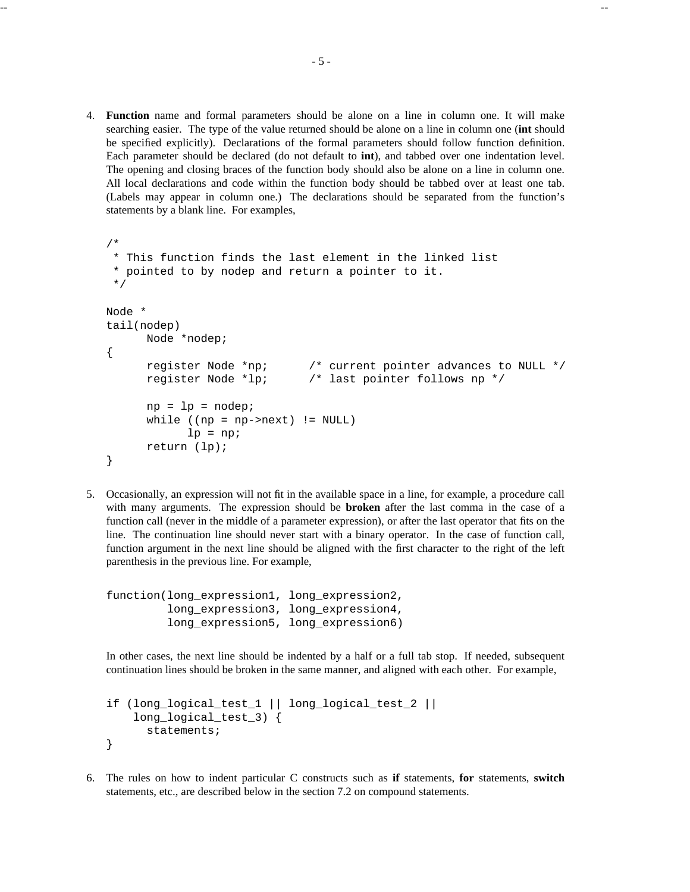4. **Function** name and formal parameters should be alone on a line in column one. It will make searching easier. The type of the value returned should be alone on a line in column one (**int** should be specified explicitly). Declarations of the formal parameters should follow function definition. Each parameter should be declared (do not default to **int**), and tabbed over one indentation level. The opening and closing braces of the function body should also be alone on a line in column one. All local declarations and code within the function body should be tabbed over at least one tab. (Labels may appear in column one.) The declarations should be separated from the function's statements by a blank line. For examples,

```
/*
* This function finds the last element in the linked list
* pointed to by nodep and return a pointer to it.
*/
Node *
tail(nodep)
     Node *nodep;
{
     register Node *np; /* current pointer advances to NULL */
     register Node *lp; /* last pointer follows np */
     np = lp = nodepiwhile ((np = np->next) != NULL)
           lp = np;return (lp);
}
```
5. Occasionally, an expression will not fit in the available space in a line, for example, a procedure call with many arguments. The expression should be **broken** after the last comma in the case of a function call (never in the middle of a parameter expression), or after the last operator that fits on the line. The continuation line should never start with a binary operator. In the case of function call, function argument in the next line should be aligned with the first character to the right of the left parenthesis in the previous line. For example,

```
function(long_expression1, long_expression2,
         long expression3, long expression4,
         long_expression5, long_expression6)
```
In other cases, the next line should be indented by a half or a full tab stop. If needed, subsequent continuation lines should be broken in the same manner, and aligned with each other. For example,

```
if (long_logical_test_1 || long_logical_test_2 ||
    long_logical_test_3) {
      statements;
}
```
6. The rules on how to indent particular C constructs such as **if** statements, **for** statements, **switch** statements, etc., are described below in the section 7.2 on compound statements.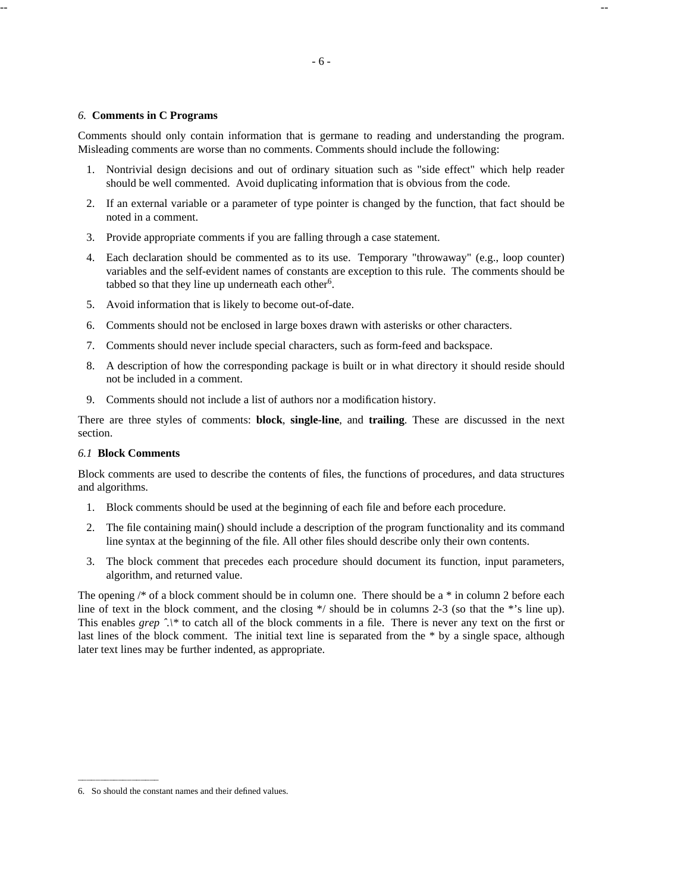-- --

#### *6.* **Comments in C Programs**

Comments should only contain information that is germane to reading and understanding the program. Misleading comments are worse than no comments. Comments should include the following:

- 1. Nontrivial design decisions and out of ordinary situation such as "side effect" which help reader should be well commented. Avoid duplicating information that is obvious from the code.
- 2. If an external variable or a parameter of type pointer is changed by the function, that fact should be noted in a comment.
- 3. Provide appropriate comments if you are falling through a case statement.
- 4. Each declaration should be commented as to its use. Temporary "throwaway" (e.g., loop counter) variables and the self-evident names of constants are exception to this rule. The comments should be tabbed so that they line up underneath each other<sup>6</sup>.
- 5. Avoid information that is likely to become out-of-date.
- 6. Comments should not be enclosed in large boxes drawn with asterisks or other characters.
- 7. Comments should never include special characters, such as form-feed and backspace.
- 8. A description of how the corresponding package is built or in what directory it should reside should not be included in a comment.
- 9. Comments should not include a list of authors nor a modification history.

There are three styles of comments: **block**, **single-line**, and **trailing**. These are discussed in the next section.

## *6.1* **Block Comments**

Block comments are used to describe the contents of files, the functions of procedures, and data structures and algorithms.

- 1. Block comments should be used at the beginning of each file and before each procedure.
- 2. The file containing main() should include a description of the program functionality and its command line syntax at the beginning of the file. All other files should describe only their own contents.
- 3. The block comment that precedes each procedure should document its function, input parameters, algorithm, and returned value.

The opening  $\frac{1}{2}$  of a block comment should be in column one. There should be a  $*$  in column 2 before each line of text in the block comment, and the closing \*/ should be in columns 2-3 (so that the \*'s line up). This enables *grep ˆ.\\** to catch all of the block comments in a file. There is never any text on the first or last lines of the block comment. The initial text line is separated from the \* by a single space, although later text lines may be further indented, as appropriate.

<sup>6.</sup> So should the constant names and their defined values.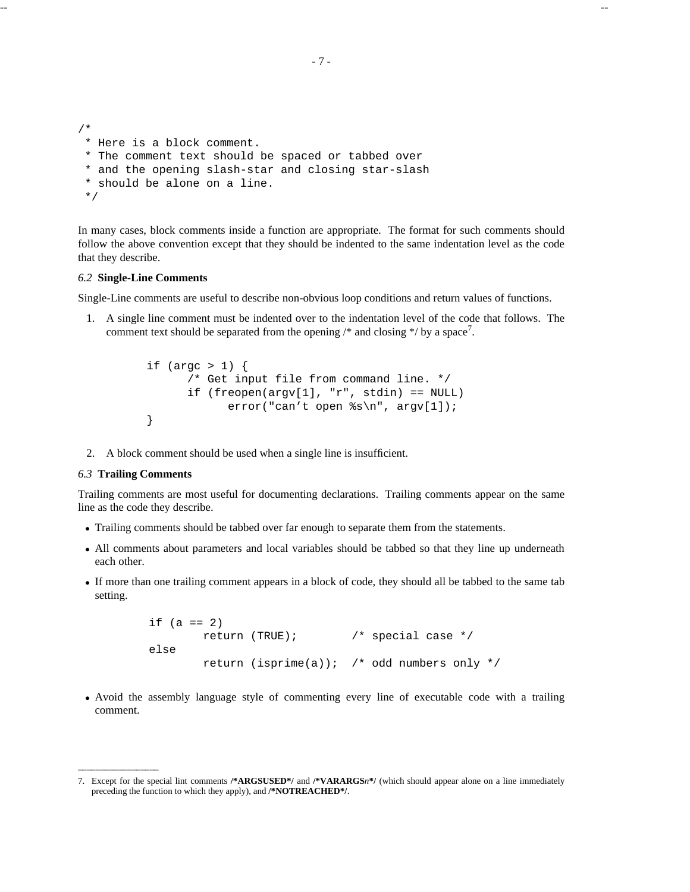```
/*
 * Here is a block comment.
 * The comment text should be spaced or tabbed over
 * and the opening slash-star and closing star-slash
 * should be alone on a line.
 */
```
In many cases, block comments inside a function are appropriate. The format for such comments should follow the above convention except that they should be indented to the same indentation level as the code that they describe.

## *6.2* **Single-Line Comments**

Single-Line comments are useful to describe non-obvious loop conditions and return values of functions.

1. A single line comment must be indented over to the indentation level of the code that follows. The comment text should be separated from the opening  $\frac{1}{2}$  and closing  $\frac{1}{2}$  by a space<sup>7</sup>.

```
if (argc > 1) {
      /* Get input file from command line. */
      if (freopen(argv[1], "r", stdin) == NULL)error("can't open %s\n", argv[1]);
}
```
2. A block comment should be used when a single line is insufficient.

### *6.3* **Trailing Comments**

Trailing comments are most useful for documenting declarations. Trailing comments appear on the same line as the code they describe.

- · Trailing comments should be tabbed over far enough to separate them from the statements.
- · All comments about parameters and local variables should be tabbed so that they line up underneath each other.
- · If more than one trailing comment appears in a block of code, they should all be tabbed to the same tab setting.

```
if (a == 2)return (TRUE); /* special case */
else
       return (isprime(a)); /* odd numbers only */
```
· Avoid the assembly language style of commenting every line of executable code with a trailing comment.

<sup>7.</sup> Except for the special lint comments **/\*ARGSUSED\*/** and **/\*VARARGS***n***\*/** (which should appear alone on a line immediately preceding the function to which they apply), and **/\*NOTREACHED\*/**.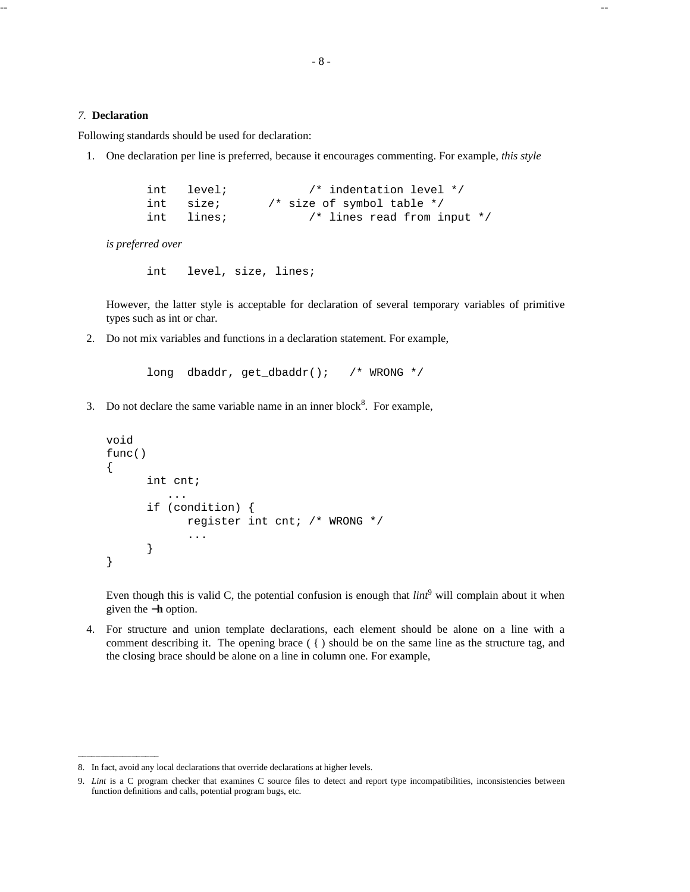#### *7.* **Declaration**

Following standards should be used for declaration:

1. One declaration per line is preferred, because it encourages commenting. For example, *this style*

| int level; | /* indentation level */         |  |
|------------|---------------------------------|--|
| int size;  | /* size of symbol table $*/$    |  |
| int lines; | $/*$ lines read from input $*/$ |  |

*is preferred over*

int level, size, lines;

However, the latter style is acceptable for declaration of several temporary variables of primitive types such as int or char.

2. Do not mix variables and functions in a declaration statement. For example,

```
long dbaddr, get_dbaddr(); /* WRONG */
```
3. Do not declare the same variable name in an inner block<sup>8</sup>. For example,

```
void
func()
{
      int cnt;
         ...
      if (condition) {
            register int cnt; /* WRONG */
             ...
      }
}
```
Even though this is valid C, the potential confusion is enough that  $\lim_{n \to \infty}$  will complain about it when given the −**h** option.

4. For structure and union template declarations, each element should be alone on a line with a comment describing it. The opening brace  $( \n\} )$  should be on the same line as the structure tag, and the closing brace should be alone on a line in column one. For example,

<sup>8.</sup> In fact, avoid any local declarations that override declarations at higher levels.

<sup>9.</sup> *Lint* is a C program checker that examines C source files to detect and report type incompatibilities, inconsistencies between function definitions and calls, potential program bugs, etc.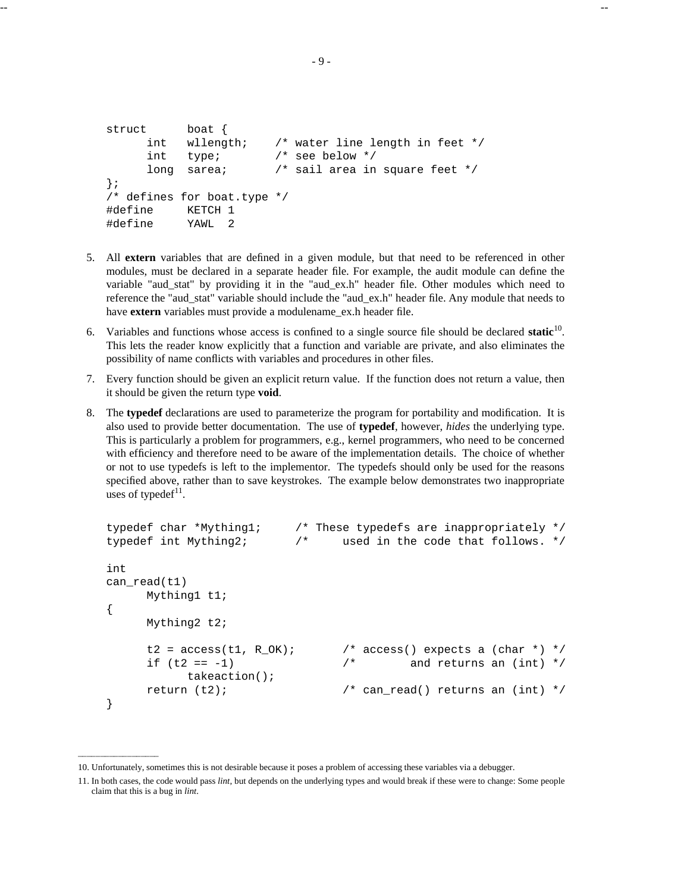```
struct boat {
     int wllength; /* water line length in feet */
     int type; /* see below */
     long sarea; \frac{1}{2} /* sail area in square feet */
};
/* defines for boat.type */
#define KETCH 1
#define YAWL 2
```
- 5. All **extern** variables that are defined in a given module, but that need to be referenced in other modules, must be declared in a separate header file. For example, the audit module can define the variable "aud\_stat" by providing it in the "aud\_ex.h" header file. Other modules which need to reference the "aud\_stat" variable should include the "aud\_ex.h" header file. Any module that needs to have **extern** variables must provide a modulename ex.h header file.
- 6. Variables and functions whose access is confined to a single source file should be declared **static**<sup>10</sup> . This lets the reader know explicitly that a function and variable are private, and also eliminates the possibility of name conflicts with variables and procedures in other files.
- 7. Every function should be given an explicit return value. If the function does not return a value, then it should be given the return type **void**.
- 8. The **typedef** declarations are used to parameterize the program for portability and modification. It is also used to provide better documentation. The use of **typedef**, however, *hides* the underlying type. This is particularly a problem for programmers, e.g., kernel programmers, who need to be concerned with efficiency and therefore need to be aware of the implementation details. The choice of whether or not to use typedefs is left to the implementor. The typedefs should only be used for the reasons specified above, rather than to save keystrokes. The example below demonstrates two inappropriate uses of typedef $11$ .

```
typedef char *Mything1; /* These typedefs are inappropriately */
typedef int Mything2; /* used in the code that follows. */
int
can read(t1)
     Mything1 t1;
{
     Mything2 t2;
     t2 = access(t1, R_QK); /* access() expects a (char *) */
     if (t2 == -1) /* and returns an (int) */
          takeaction();
     return (t2); \qquad \qquad /* can read() returns an (int) */
}
```
<sup>10.</sup> Unfortunately, sometimes this is not desirable because it poses a problem of accessing these variables via a debugger.

<sup>11.</sup> In both cases, the code would pass *lint*, but depends on the underlying types and would break if these were to change: Some people claim that this is a bug in *lint*.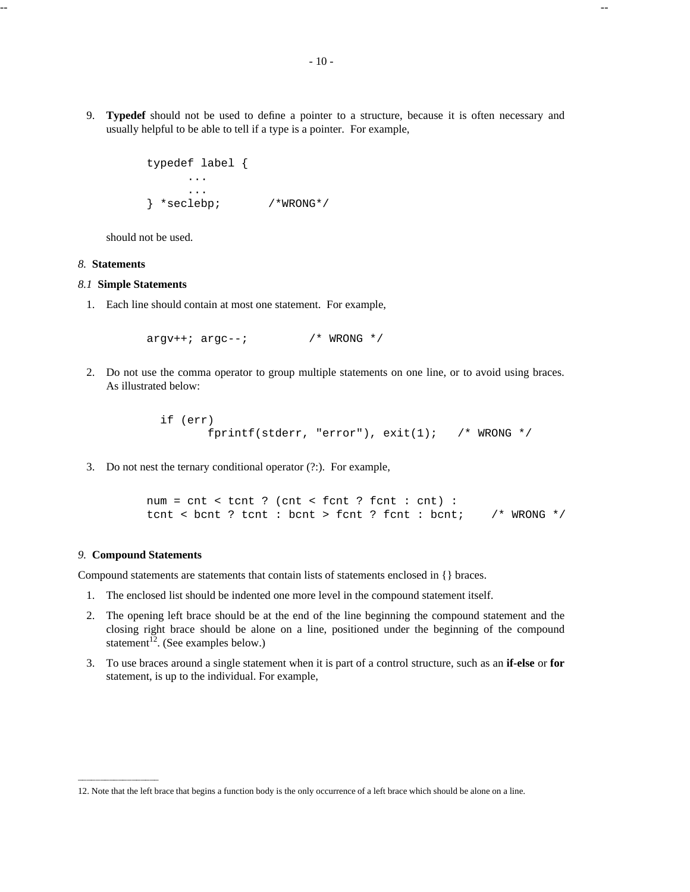9. **Typedef** should not be used to define a pointer to a structure, because it is often necessary and usually helpful to be able to tell if a type is a pointer. For example,

```
typedef label {
     ...
     ...
} *seclebp; /*WRONG*/
```
should not be used.

#### *8.* **Statements**

## *8.1* **Simple Statements**

1. Each line should contain at most one statement. For example,

 $\arctan x + i \arctan x - i$  /\* WRONG \*/

2. Do not use the comma operator to group multiple statements on one line, or to avoid using braces. As illustrated below:

```
if (err)
      fprintf(stderr, "error"), exit(1); /* WRONG */
```
3. Do not nest the ternary conditional operator (?:). For example,

```
num = cnt < tcnt ? (cnt < fcnt ? fcnt : cnt) :
tcnt < bcnt ? tcnt : bcnt > fcnt ? fcnt : bcnt; /* WRONG */
```
## *9.* **Compound Statements**

Compound statements are statements that contain lists of statements enclosed in {} braces.

- 1. The enclosed list should be indented one more level in the compound statement itself.
- 2. The opening left brace should be at the end of the line beginning the compound statement and the closing right brace should be alone on a line, positioned under the beginning of the compound statement<sup> $12$ </sup>. (See examples below.)
- 3. To use braces around a single statement when it is part of a control structure, such as an **if-else** or **for** statement, is up to the individual. For example,

<sup>12.</sup> Note that the left brace that begins a function body is the only occurrence of a left brace which should be alone on a line.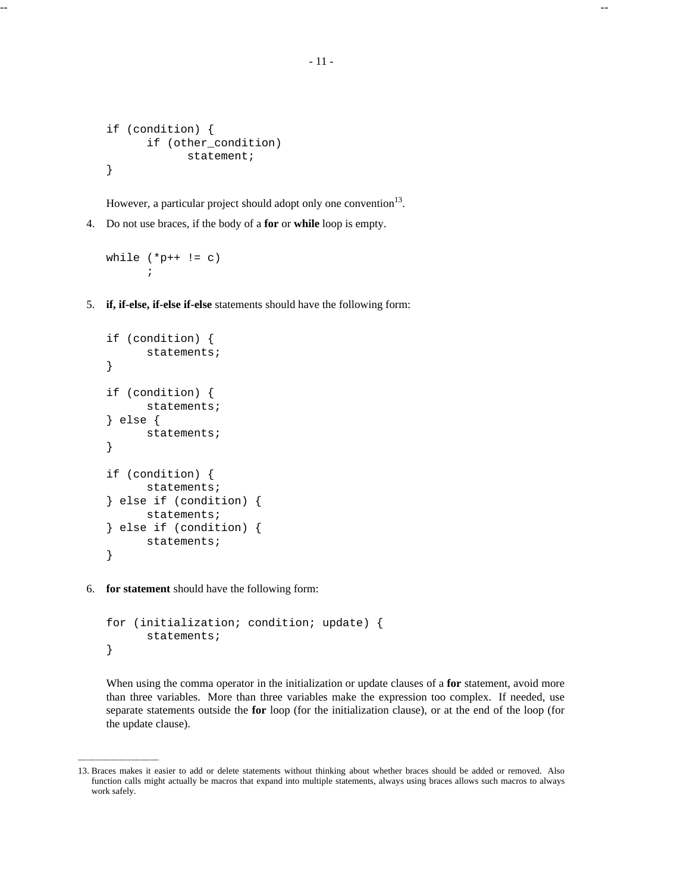```
if (condition) {
      if (other_condition)
            statement;
}
```
However, a particular project should adopt only one convention $13$ .

4. Do not use braces, if the body of a **for** or **while** loop is empty.

```
while (*p++ != c);
```
5. **if, if-else, if-else if-else** statements should have the following form:

```
if (condition) {
      statements;
}
if (condition) {
      statements;
} else {
      statements;
}
if (condition) {
      statements;
} else if (condition) {
      statements;
} else if (condition) {
      statements;
}
```
6. **for statement** should have the following form:

```
for (initialization; condition; update) {
      statements;
}
```
When using the comma operator in the initialization or update clauses of a **for** statement, avoid more than three variables. More than three variables make the expression too complex. If needed, use separate statements outside the **for** loop (for the initialization clause), or at the end of the loop (for the update clause).

<sup>13.</sup> Braces makes it easier to add or delete statements without thinking about whether braces should be added or removed. Also function calls might actually be macros that expand into multiple statements, always using braces allows such macros to always work safely.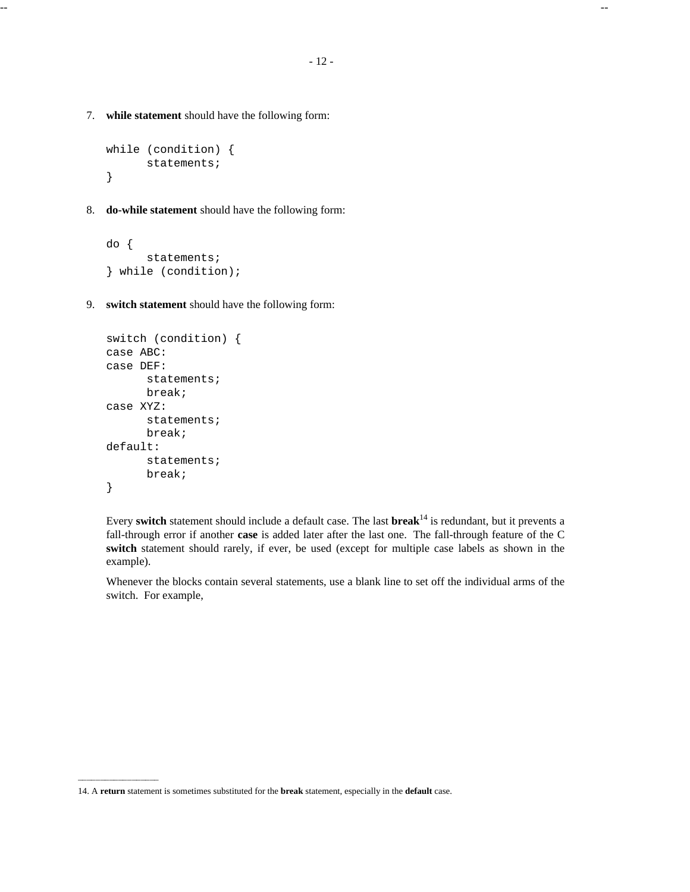-- --

7. **while statement** should have the following form:

```
while (condition) {
      statements;
}
```
8. **do-while statement** should have the following form:

```
do {
      statements;
} while (condition);
```
9. **switch statement** should have the following form:

```
switch (condition) {
case ABC:
case DEF:
      statements;
      break;
case XYZ:
      statements;
      break;
default:
      statements;
      break;
}
```
Every **switch** statement should include a default case. The last **break**<sup>14</sup> is redundant, but it prevents a fall-through error if another **case** is added later after the last one. The fall-through feature of the C **switch** statement should rarely, if ever, be used (except for multiple case labels as shown in the example).

Whenever the blocks contain several statements, use a blank line to set off the individual arms of the switch. For example,

<sup>14.</sup> A **return** statement is sometimes substituted for the **break** statement, especially in the **default** case.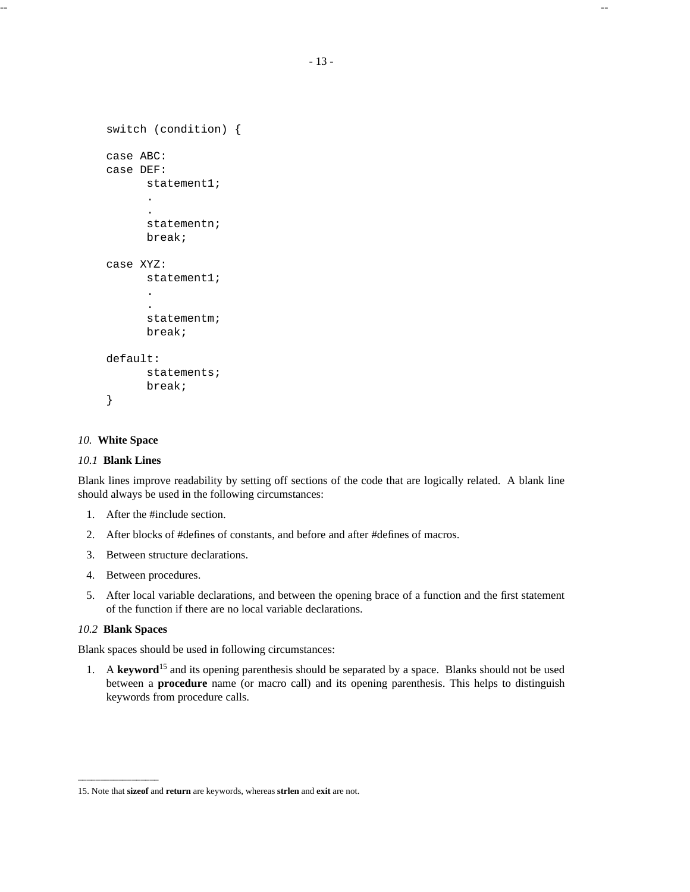```
switch (condition) {
case ABC:
case DEF:
      statement1;
      .
      .
      statementn;
      break;
case XYZ:
      statement1;
      .
      .
      statementm;
      break;
default:
      statements;
      break;
}
```
## *10.* **White Space**

### *10.1* **Blank Lines**

Blank lines improve readability by setting off sections of the code that are logically related. A blank line should always be used in the following circumstances:

- 1. After the #include section.
- 2. After blocks of #defines of constants, and before and after #defines of macros.
- 3. Between structure declarations.
- 4. Between procedures.
- 5. After local variable declarations, and between the opening brace of a function and the first statement of the function if there are no local variable declarations.

# *10.2* **Blank Spaces**

Blank spaces should be used in following circumstances:

1. A **keyword**<sup>15</sup> and its opening parenthesis should be separated by a space. Blanks should not be used between a **procedure** name (or macro call) and its opening parenthesis. This helps to distinguish keywords from procedure calls.

<sup>15.</sup> Note that **sizeof** and **return** are keywords, whereas **strlen** and **exit** are not.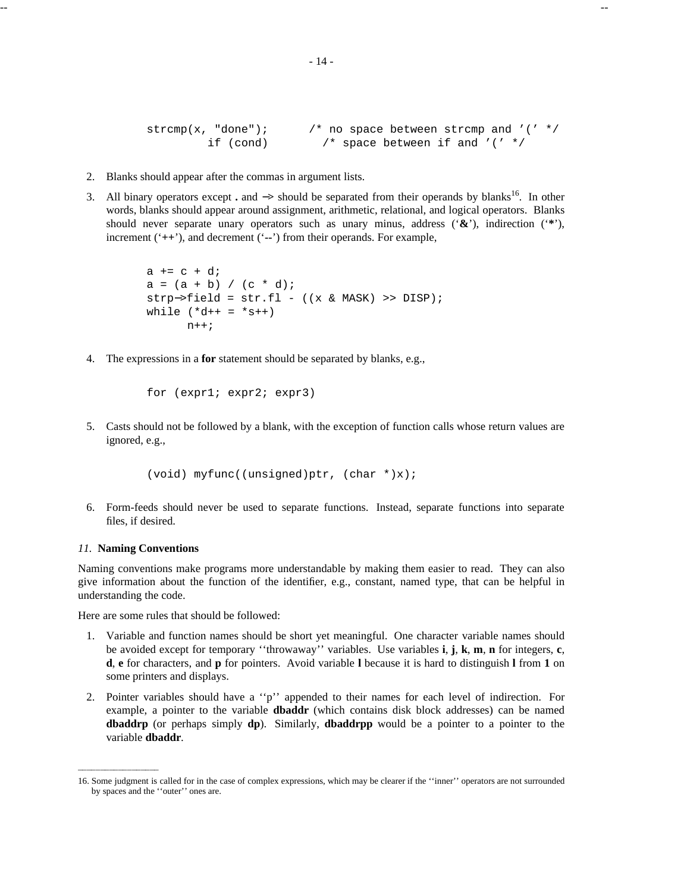strcmp(x, "done");  $/$ \* no space between strcmp and '(' \*/ if (cond)  $\frac{1}{2}$  /\* space between if and '(' \*/

- 2. Blanks should appear after the commas in argument lists.
- 3. All binary operators except **.** and  $\rightarrow$  should be separated from their operands by blanks<sup>16</sup>. In other words, blanks should appear around assignment, arithmetic, relational, and logical operators. Blanks should never separate unary operators such as unary minus, address ('**&**'), indirection ('**\***'), increment ('**++**'), and decrement ('**--**') from their operands. For example,

```
a := c + d;
a = (a + b) / (c * d);
strp−>field = str.fl - ((x & MASK) >> DISP);
while (*d++ = *s++)n++;
```
4. The expressions in a **for** statement should be separated by blanks, e.g.,

```
for (expr1; expr2; expr3)
```
5. Casts should not be followed by a blank, with the exception of function calls whose return values are ignored, e.g.,

(void) myfunc((unsigned)ptr, (char  $*(x)$ ;

6. Form-feeds should never be used to separate functions. Instead, separate functions into separate files, if desired.

### *11.* **Naming Conventions**

Naming conventions make programs more understandable by making them easier to read. They can also give information about the function of the identifier, e.g., constant, named type, that can be helpful in understanding the code.

Here are some rules that should be followed:

- 1. Variable and function names should be short yet meaningful. One character variable names should be avoided except for temporary ''throwaway'' variables. Use variables **i**, **j**, **k**, **m**, **n** for integers, **c**, **d**, **e** for characters, and **p** for pointers. Avoid variable **l** because it is hard to distinguish **l** from **1** on some printers and displays.
- 2. Pointer variables should have a ''p'' appended to their names for each level of indirection. For example, a pointer to the variable **dbaddr** (which contains disk block addresses) can be named **dbaddrp** (or perhaps simply **dp**). Similarly, **dbaddrpp** would be a pointer to a pointer to the variable **dbaddr**.

<sup>16.</sup> Some judgment is called for in the case of complex expressions, which may be clearer if the ''inner'' operators are not surrounded by spaces and the ''outer'' ones are.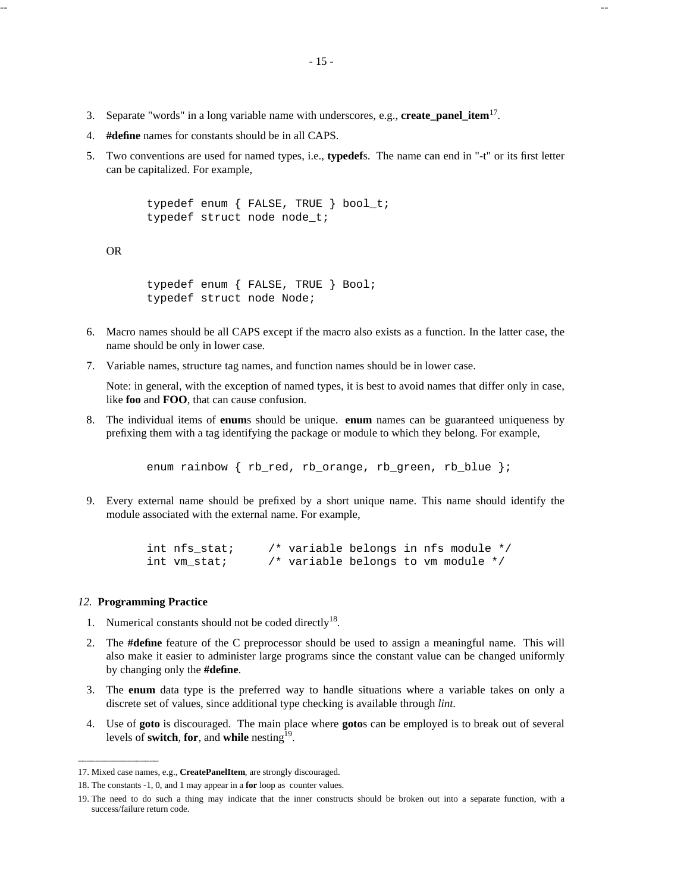- 3. Separate "words" in a long variable name with underscores, e.g., **create\_panel\_item**<sup>17</sup> .
- 4. **#define** names for constants should be in all CAPS.
- 5. Two conventions are used for named types, i.e., **typedef**s. The name can end in "-t" or its first letter can be capitalized. For example,

```
typedef enum { FALSE, TRUE } bool_t;
typedef struct node node t;
```
OR

```
typedef enum { FALSE, TRUE } Bool;
typedef struct node Node;
```
- 6. Macro names should be all CAPS except if the macro also exists as a function. In the latter case, the name should be only in lower case.
- 7. Variable names, structure tag names, and function names should be in lower case.

Note: in general, with the exception of named types, it is best to avoid names that differ only in case, like **foo** and **FOO**, that can cause confusion.

8. The individual items of **enum**s should be unique. **enum** names can be guaranteed uniqueness by prefixing them with a tag identifying the package or module to which they belong. For example,

enum rainbow { rb red, rb orange, rb green, rb blue };

9. Every external name should be prefixed by a short unique name. This name should identify the module associated with the external name. For example,

```
int nfs_stat; /* variable belongs in nfs module */
int vm stat; /* variable belongs to vm module */
```
## *12.* **Programming Practice**

- 1. Numerical constants should not be coded directly<sup>18</sup>.
- 2. The **#define** feature of the C preprocessor should be used to assign a meaningful name. This will also make it easier to administer large programs since the constant value can be changed uniformly by changing only the **#define**.
- 3. The **enum** data type is the preferred way to handle situations where a variable takes on only a discrete set of values, since additional type checking is available through *lint*.
- 4. Use of **goto** is discouraged. The main place where **goto**s can be employed is to break out of several levels of **switch**, for, and while nesting<sup>19</sup>.

<sup>17.</sup> Mixed case names, e.g., **CreatePanelItem**, are strongly discouraged.

<sup>18.</sup> The constants -1, 0, and 1 may appear in a **for** loop as counter values.

<sup>19.</sup> The need to do such a thing may indicate that the inner constructs should be broken out into a separate function, with a success/failure return code.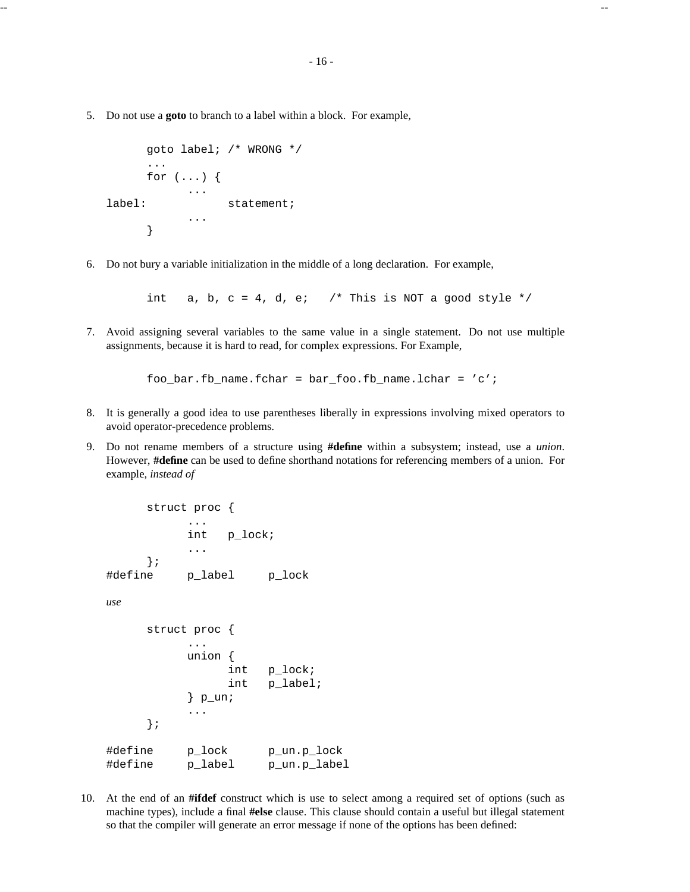5. Do not use a **goto** to branch to a label within a block. For example,

```
goto label; /* WRONG */
     ...
     for (\ldots) {
           ...
label: statement;
           ...
     }
```
6. Do not bury a variable initialization in the middle of a long declaration. For example,

int a, b,  $c = 4$ , d, e; /\* This is NOT a good style \*/

7. Avoid assigning several variables to the same value in a single statement. Do not use multiple assignments, because it is hard to read, for complex expressions. For Example,

foo\_bar.fb\_name.fchar =  $bar_f$ oo.fb\_name.lchar = 'c';

- 8. It is generally a good idea to use parentheses liberally in expressions involving mixed operators to avoid operator-precedence problems.
- 9. Do not rename members of a structure using **#define** within a subsystem; instead, use a *union*. However, **#define** can be used to define shorthand notations for referencing members of a union. For example, *instead of*

```
struct proc {
           ...
           int p_lock;
           ...
     };
#define p_label p_lock
use
     struct proc {
           ...
          union {
                int p_lock;
                int p_label;
           \} p_un;
           ...
     };
#define p_lock p_un.p_lock
#define p_label p_un.p_label
```
10. At the end of an **#ifdef** construct which is use to select among a required set of options (such as machine types), include a final **#else** clause. This clause should contain a useful but illegal statement so that the compiler will generate an error message if none of the options has been defined: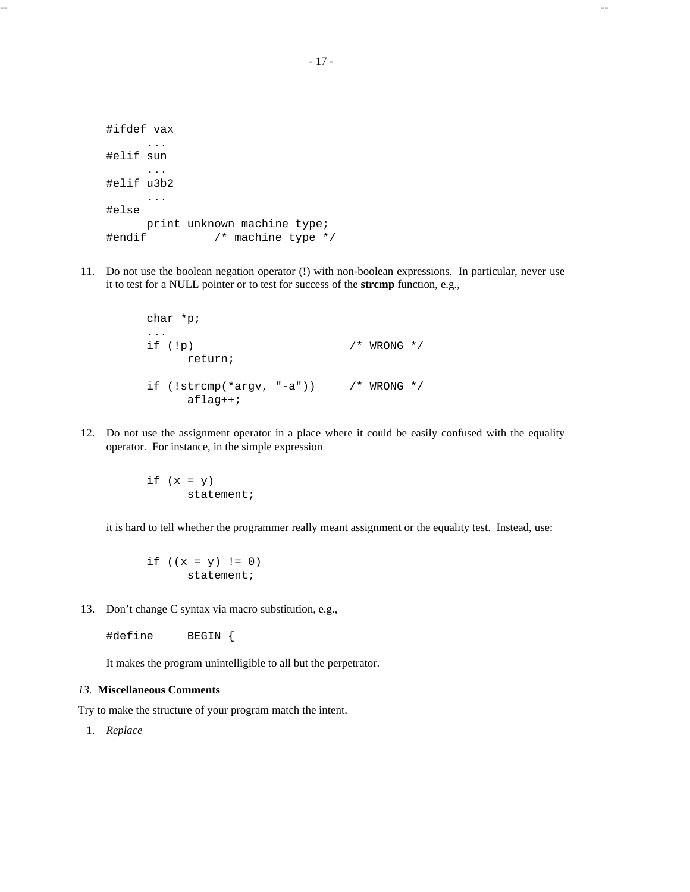```
#ifdef vax
     ...
#elif sun
     ...
#elif u3b2
     ...
#else
     print unknown machine type;
#endif /* machine type */
```
11. Do not use the boolean negation operator (**!**) with non-boolean expressions. In particular, never use it to test for a NULL pointer or to test for success of the **strcmp** function, e.g.,

```
char *p;
...
if (!p) /* WRONG */
    return;
if (!strcmp(*argv, "-a")) /* WRONG */
    aflag++;
```
12. Do not use the assignment operator in a place where it could be easily confused with the equality operator. For instance, in the simple expression

> if  $(x = y)$ statement;

it is hard to tell whether the programmer really meant assignment or the equality test. Instead, use:

if  $((x = y) != 0)$ statement;

13. Don't change C syntax via macro substitution, e.g.,

#define BEGIN {

It makes the program unintelligible to all but the perpetrator.

## *13.* **Miscellaneous Comments**

Try to make the structure of your program match the intent.

1. *Replace*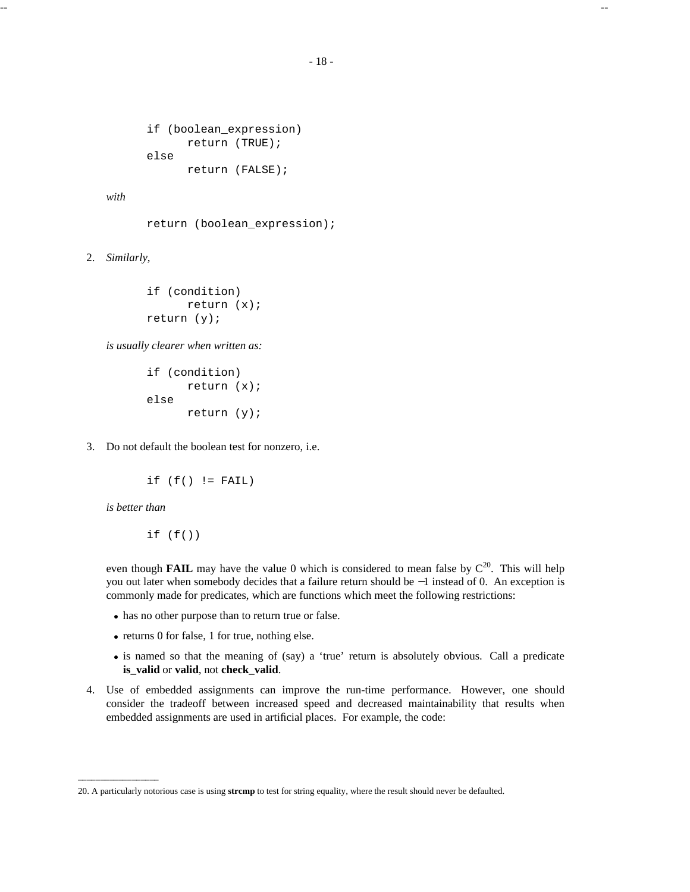```
if (boolean_expression)
      return (TRUE);
else
      return (FALSE);
```
*with*

return (boolean\_expression);

2. *Similarly*,

```
if (condition)
      return (x);
return (y);
```
*is usually clearer when written as:*

```
if (condition)
      return (x);
else
      return (y);
```
3. Do not default the boolean test for nonzero, i.e.

```
if (f() != FAIL)
```
*is better than*

if  $(f()$ 

even though **FAIL** may have the value 0 which is considered to mean false by  $C^{20}$ . This will help you out later when somebody decides that a failure return should be −1 instead of 0. An exception is commonly made for predicates, which are functions which meet the following restrictions:

- · has no other purpose than to return true or false.
- · returns 0 for false, 1 for true, nothing else.
- · is named so that the meaning of (say) a 'true' return is absolutely obvious. Call a predicate **is\_valid** or **valid**, not **check\_valid**.
- 4. Use of embedded assignments can improve the run-time performance. However, one should consider the tradeoff between increased speed and decreased maintainability that results when embedded assignments are used in artificial places. For example, the code:

<sup>20.</sup> A particularly notorious case is using **strcmp** to test for string equality, where the result should never be defaulted.